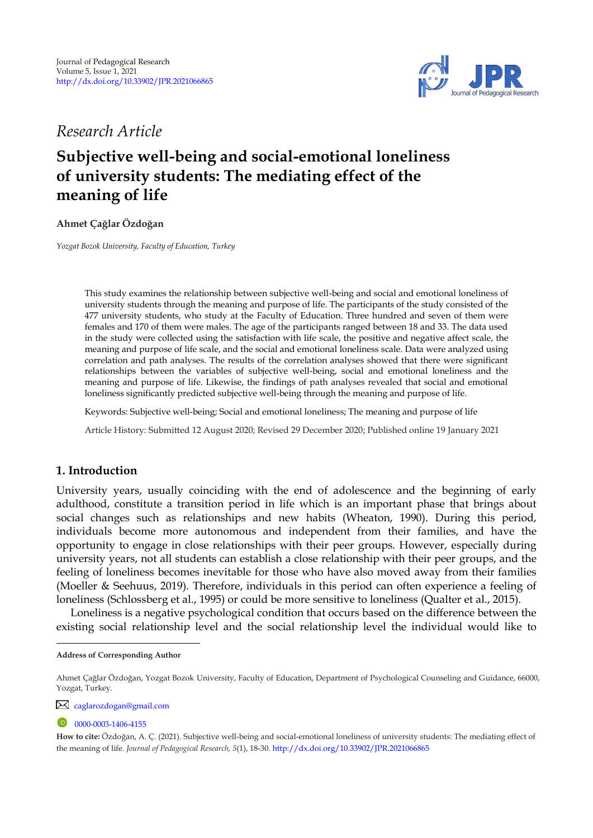

*Research Article* 

# **Subjective well-being and social-emotional loneliness of university students: The mediating effect of the meaning of life**

**Ahmet Çağlar Özdoğan <sup>1</sup>**

*Yozgat Bozok University, Faculty of Education, Turkey* 

This study examines the relationship between subjective well-being and social and emotional loneliness of university students through the meaning and purpose of life. The participants of the study consisted of the 477 university students, who study at the Faculty of Education. Three hundred and seven of them were females and 170 of them were males. The age of the participants ranged between 18 and 33. The data used in the study were collected using the satisfaction with life scale, the positive and negative affect scale, the meaning and purpose of life scale, and the social and emotional loneliness scale. Data were analyzed using correlation and path analyses. The results of the correlation analyses showed that there were significant relationships between the variables of subjective well-being, social and emotional loneliness and the meaning and purpose of life. Likewise, the findings of path analyses revealed that social and emotional loneliness significantly predicted subjective well-being through the meaning and purpose of life.

Keywords: Subjective well-being; Social and emotional loneliness; The meaning and purpose of life

Article History: Submitted 12 August 2020; Revised 29 December 2020; Published online 19 January 2021

# **1. Introduction**

University years, usually coinciding with the end of adolescence and the beginning of early adulthood, constitute a transition period in life which is an important phase that brings about social changes such as relationships and new habits (Wheaton, 1990). During this period, individuals become more autonomous and independent from their families, and have the opportunity to engage in close relationships with their peer groups. However, especially during university years, not all students can establish a close relationship with their peer groups, and the feeling of loneliness becomes inevitable for those who have also moved away from their families (Moeller & Seehuus, 2019). Therefore, individuals in this period can often experience a feeling of loneliness (Schlossberg et al., 1995) or could be more sensitive to loneliness (Qualter et al., 2015).

Loneliness is a negative psychological condition that occurs based on the difference between the existing social relationship level and the social relationship level the individual would like to

[caglarozdogan@gmail.com](mailto:caglarozdogan@gmail.com)

0000-0003-1406-4155

**Address of Corresponding Author**

Ahmet Çağlar Özdoğan, Yozgat Bozok University, Faculty of Education, Department of Psychological Counseling and Guidance, 66000, Yozgat, Turkey.

**How to cite:** Özdoğan, A. Ç. (2021). Subjective well-being and social-emotional loneliness of university students: The mediating effect of the meaning of life. *Journal of Pedagogical Research, 5*(1), 18-30. <http://dx.doi.org/10.33902/JPR.2021066865>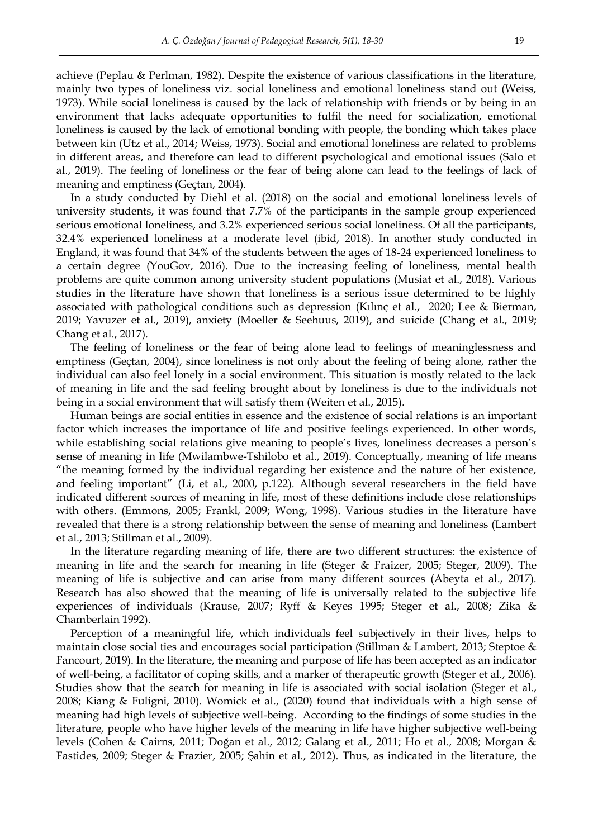achieve (Peplau & Perlman, 1982). Despite the existence of various classifications in the literature, mainly two types of loneliness viz. social loneliness and emotional loneliness stand out (Weiss, 1973). While social loneliness is caused by the lack of relationship with friends or by being in an environment that lacks adequate opportunities to fulfil the need for socialization, emotional loneliness is caused by the lack of emotional bonding with people, the bonding which takes place between kin (Utz et al., 2014; Weiss, 1973). Social and emotional loneliness are related to problems in different areas, and therefore can lead to different psychological and emotional issues (Salo et al., 2019). The feeling of loneliness or the fear of being alone can lead to the feelings of lack of meaning and emptiness (Geçtan, 2004).

In a study conducted by Diehl et al. (2018) on the social and emotional loneliness levels of university students, it was found that 7.7% of the participants in the sample group experienced serious emotional loneliness, and 3.2% experienced serious social loneliness. Of all the participants, 32.4% experienced loneliness at a moderate level (ibid, 2018). In another study conducted in England, it was found that 34% of the students between the ages of 18-24 experienced loneliness to a certain degree (YouGov, 2016). Due to the increasing feeling of loneliness, mental health problems are quite common among university student populations (Musiat et al., 2018). Various studies in the literature have shown that loneliness is a serious issue determined to be highly associated with pathological conditions such as depression (Kılınç et al., 2020; Lee & Bierman, 2019; Yavuzer et al., 2019), anxiety (Moeller & Seehuus, 2019), and suicide (Chang et al., 2019; Chang et al., 2017).

The feeling of loneliness or the fear of being alone lead to feelings of meaninglessness and emptiness (Geçtan, 2004), since loneliness is not only about the feeling of being alone, rather the individual can also feel lonely in a social environment. This situation is mostly related to the lack of meaning in life and the sad feeling brought about by loneliness is due to the individuals not being in a social environment that will satisfy them (Weiten et al., 2015).

Human beings are social entities in essence and the existence of social relations is an important factor which increases the importance of life and positive feelings experienced. In other words, while establishing social relations give meaning to people's lives, loneliness decreases a person's sense of meaning in life (Mwilambwe-Tshilobo et al., 2019). Conceptually, meaning of life means "the meaning formed by the individual regarding her existence and the nature of her existence, and feeling important" (Li, et al., 2000, p.122). Although several researchers in the field have indicated different sources of meaning in life, most of these definitions include close relationships with others. (Emmons, 2005; Frankl, 2009; Wong, 1998). Various studies in the literature have revealed that there is a strong relationship between the sense of meaning and loneliness (Lambert et al., 2013; Stillman et al., 2009).

In the literature regarding meaning of life, there are two different structures: the existence of meaning in life and the search for meaning in life (Steger & Fraizer, 2005; Steger, 2009). The meaning of life is subjective and can arise from many different sources (Abeyta et al., 2017). Research has also showed that the meaning of life is universally related to the subjective life experiences of individuals (Krause, 2007; Ryff & Keyes 1995; Steger et al., 2008; Zika & Chamberlain 1992).

Perception of a meaningful life, which individuals feel subjectively in their lives, helps to maintain close social ties and encourages social participation (Stillman & Lambert, 2013; Steptoe & Fancourt, 2019). In the literature, the meaning and purpose of life has been accepted as an indicator of well-being, a facilitator of coping skills, and a marker of therapeutic growth (Steger et al., 2006). Studies show that the search for meaning in life is associated with social isolation (Steger et al., 2008; Kiang & Fuligni, 2010). Womick et al., (2020) found that individuals with a high sense of meaning had high levels of subjective well-being. According to the findings of some studies in the literature, people who have higher levels of the meaning in life have higher subjective well-being levels (Cohen & Cairns, 2011; Doğan et al., 2012; Galang et al., 2011; Ho et al., 2008; Morgan & Fastides, 2009; Steger & Frazier, 2005; Şahin et al., 2012). Thus, as indicated in the literature, the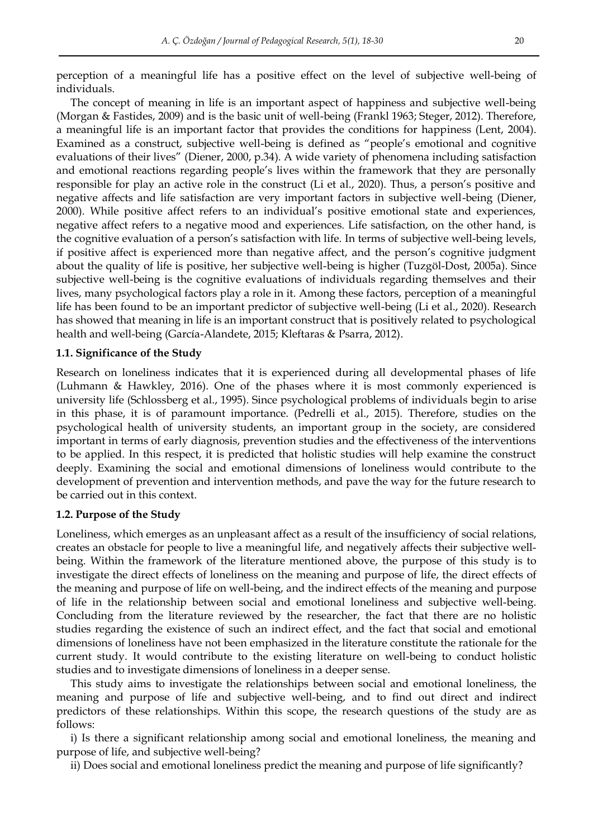perception of a meaningful life has a positive effect on the level of subjective well-being of individuals.

The concept of meaning in life is an important aspect of happiness and subjective well-being (Morgan & Fastides, 2009) and is the basic unit of well-being (Frankl 1963; Steger, 2012). Therefore, a meaningful life is an important factor that provides the conditions for happiness (Lent, 2004). Examined as a construct, subjective well-being is defined as "people's emotional and cognitive evaluations of their lives" (Diener, 2000, p.34). A wide variety of phenomena including satisfaction and emotional reactions regarding people's lives within the framework that they are personally responsible for play an active role in the construct (Li et al., 2020). Thus, a person's positive and negative affects and life satisfaction are very important factors in subjective well-being (Diener, 2000). While positive affect refers to an individual's positive emotional state and experiences, negative affect refers to a negative mood and experiences. Life satisfaction, on the other hand, is the cognitive evaluation of a person's satisfaction with life. In terms of subjective well-being levels, if positive affect is experienced more than negative affect, and the person's cognitive judgment about the quality of life is positive, her subjective well-being is higher (Tuzgöl-Dost, 2005a). Since subjective well-being is the cognitive evaluations of individuals regarding themselves and their lives, many psychological factors play a role in it. Among these factors, perception of a meaningful life has been found to be an important predictor of subjective well-being (Li et al., 2020). Research has showed that meaning in life is an important construct that is positively related to psychological health and well-being (García-Alandete, 2015; Kleftaras & Psarra, 2012).

#### **1.1. Significance of the Study**

Research on loneliness indicates that it is experienced during all developmental phases of life (Luhmann & Hawkley, 2016). One of the phases where it is most commonly experienced is university life (Schlossberg et al., 1995). Since psychological problems of individuals begin to arise in this phase, it is of paramount importance. (Pedrelli et al., 2015). Therefore, studies on the psychological health of university students, an important group in the society, are considered important in terms of early diagnosis, prevention studies and the effectiveness of the interventions to be applied. In this respect, it is predicted that holistic studies will help examine the construct deeply. Examining the social and emotional dimensions of loneliness would contribute to the development of prevention and intervention methods, and pave the way for the future research to be carried out in this context.

#### **1.2. Purpose of the Study**

Loneliness, which emerges as an unpleasant affect as a result of the insufficiency of social relations, creates an obstacle for people to live a meaningful life, and negatively affects their subjective wellbeing. Within the framework of the literature mentioned above, the purpose of this study is to investigate the direct effects of loneliness on the meaning and purpose of life, the direct effects of the meaning and purpose of life on well-being, and the indirect effects of the meaning and purpose of life in the relationship between social and emotional loneliness and subjective well-being. Concluding from the literature reviewed by the researcher, the fact that there are no holistic studies regarding the existence of such an indirect effect, and the fact that social and emotional dimensions of loneliness have not been emphasized in the literature constitute the rationale for the current study. It would contribute to the existing literature on well-being to conduct holistic studies and to investigate dimensions of loneliness in a deeper sense.

This study aims to investigate the relationships between social and emotional loneliness, the meaning and purpose of life and subjective well-being, and to find out direct and indirect predictors of these relationships. Within this scope, the research questions of the study are as follows:

i) Is there a significant relationship among social and emotional loneliness, the meaning and purpose of life, and subjective well-being?

ii) Does social and emotional loneliness predict the meaning and purpose of life significantly?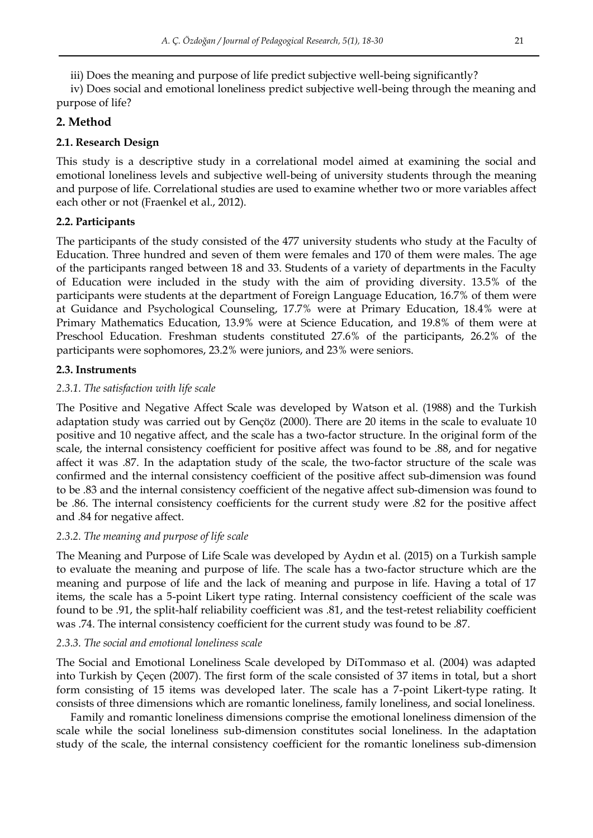iii) Does the meaning and purpose of life predict subjective well-being significantly?

iv) Does social and emotional loneliness predict subjective well-being through the meaning and purpose of life?

# **2. Method**

# **2.1. Research Design**

This study is a descriptive study in a correlational model aimed at examining the social and emotional loneliness levels and subjective well-being of university students through the meaning and purpose of life. Correlational studies are used to examine whether two or more variables affect each other or not (Fraenkel et al., 2012).

# **2.2. Participants**

The participants of the study consisted of the 477 university students who study at the Faculty of Education. Three hundred and seven of them were females and 170 of them were males. The age of the participants ranged between 18 and 33. Students of a variety of departments in the Faculty of Education were included in the study with the aim of providing diversity. 13.5% of the participants were students at the department of Foreign Language Education, 16.7% of them were at Guidance and Psychological Counseling, 17.7% were at Primary Education, 18.4% were at Primary Mathematics Education, 13.9% were at Science Education, and 19.8% of them were at Preschool Education. Freshman students constituted 27.6% of the participants, 26.2% of the participants were sophomores, 23.2% were juniors, and 23% were seniors.

## **2.3. Instruments**

## *2.3.1. The satisfaction with life scale*

The Positive and Negative Affect Scale was developed by Watson et al. (1988) and the Turkish adaptation study was carried out by Gençöz (2000). There are 20 items in the scale to evaluate 10 positive and 10 negative affect, and the scale has a two-factor structure. In the original form of the scale, the internal consistency coefficient for positive affect was found to be .88, and for negative affect it was .87. In the adaptation study of the scale, the two-factor structure of the scale was confirmed and the internal consistency coefficient of the positive affect sub-dimension was found to be .83 and the internal consistency coefficient of the negative affect sub-dimension was found to be .86. The internal consistency coefficients for the current study were .82 for the positive affect and .84 for negative affect.

## *2.3.2. The meaning and purpose of life scale*

The Meaning and Purpose of Life Scale was developed by Aydın et al. (2015) on a Turkish sample to evaluate the meaning and purpose of life. The scale has a two-factor structure which are the meaning and purpose of life and the lack of meaning and purpose in life. Having a total of 17 items, the scale has a 5-point Likert type rating. Internal consistency coefficient of the scale was found to be .91, the split-half reliability coefficient was .81, and the test-retest reliability coefficient was .74. The internal consistency coefficient for the current study was found to be .87.

## *2.3.3. The social and emotional loneliness scale*

The Social and Emotional Loneliness Scale developed by DiTommaso et al. (2004) was adapted into Turkish by Çeçen (2007). The first form of the scale consisted of 37 items in total, but a short form consisting of 15 items was developed later. The scale has a 7-point Likert-type rating. It consists of three dimensions which are romantic loneliness, family loneliness, and social loneliness.

Family and romantic loneliness dimensions comprise the emotional loneliness dimension of the scale while the social loneliness sub-dimension constitutes social loneliness. In the adaptation study of the scale, the internal consistency coefficient for the romantic loneliness sub-dimension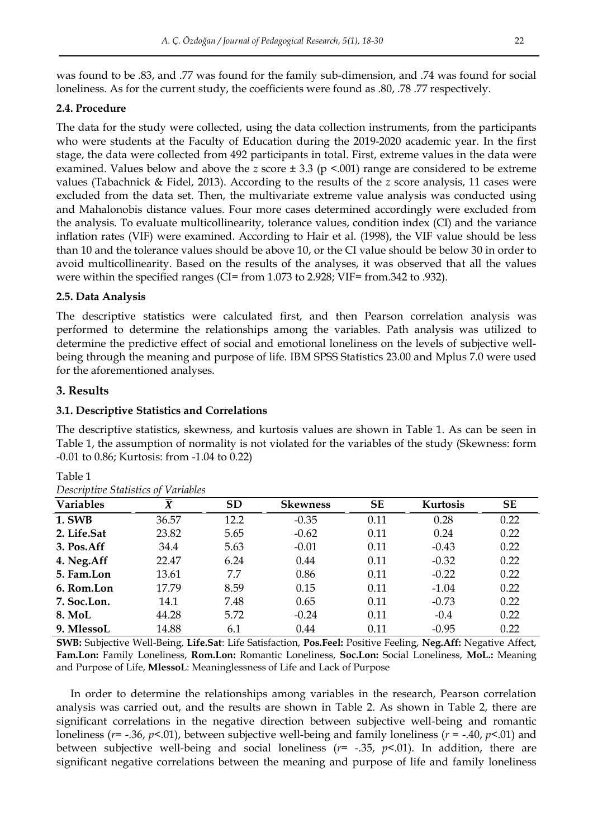was found to be .83, and .77 was found for the family sub-dimension, and .74 was found for social loneliness. As for the current study, the coefficients were found as .80, .78 .77 respectively.

## **2.4. Procedure**

The data for the study were collected, using the data collection instruments, from the participants who were students at the Faculty of Education during the 2019-2020 academic year. In the first stage, the data were collected from 492 participants in total. First, extreme values in the data were examined. Values below and above the *z* score ± 3.3 (p <.001) range are considered to be extreme values (Tabachnick & Fidel, 2013). According to the results of the *z* score analysis, 11 cases were excluded from the data set. Then, the multivariate extreme value analysis was conducted using and Mahalonobis distance values. Four more cases determined accordingly were excluded from the analysis. To evaluate multicollinearity, tolerance values, condition index (CI) and the variance inflation rates (VIF) were examined. According to Hair et al. (1998), the VIF value should be less than 10 and the tolerance values should be above 10, or the CI value should be below 30 in order to avoid multicollinearity. Based on the results of the analyses, it was observed that all the values were within the specified ranges (CI= from 1.073 to 2.928; VIF= from.342 to .932).

## **2.5. Data Analysis**

The descriptive statistics were calculated first, and then Pearson correlation analysis was performed to determine the relationships among the variables. Path analysis was utilized to determine the predictive effect of social and emotional loneliness on the levels of subjective wellbeing through the meaning and purpose of life. IBM SPSS Statistics 23.00 and Mplus 7.0 were used for the aforementioned analyses.

# **3. Results**

## **3.1. Descriptive Statistics and Correlations**

The descriptive statistics, skewness, and kurtosis values are shown in Table 1. As can be seen in Table 1, the assumption of normality is not violated for the variables of the study (Skewness: form -0.01 to 0.86; Kurtosis: from -1.04 to 0.22)

| Descriptive Julistics of <i>Variables</i> |                      |           |                 |           |          |           |
|-------------------------------------------|----------------------|-----------|-----------------|-----------|----------|-----------|
| <b>Variables</b>                          | $\overline{\pmb{X}}$ | <b>SD</b> | <b>Skewness</b> | <b>SE</b> | Kurtosis | <b>SE</b> |
| <b>1. SWB</b>                             | 36.57                | 12.2      | $-0.35$         | 0.11      | 0.28     | 0.22      |
| 2. Life.Sat                               | 23.82                | 5.65      | $-0.62$         | 0.11      | 0.24     | 0.22      |
| 3. Pos.Aff                                | 34.4                 | 5.63      | $-0.01$         | 0.11      | $-0.43$  | 0.22      |
| 4. Neg.Aff                                | 22.47                | 6.24      | 0.44            | 0.11      | $-0.32$  | 0.22      |
| 5. Fam.Lon                                | 13.61                | 7.7       | 0.86            | 0.11      | $-0.22$  | 0.22      |
| 6. Rom.Lon                                | 17.79                | 8.59      | 0.15            | 0.11      | $-1.04$  | 0.22      |
| 7. Soc.Lon.                               | 14.1                 | 7.48      | 0.65            | 0.11      | $-0.73$  | 0.22      |
| <b>8. MoL</b>                             | 44.28                | 5.72      | $-0.24$         | 0.11      | $-0.4$   | 0.22      |
| 9. MlessoL                                | 14.88                | 6.1       | 0.44            | 0.11      | $-0.95$  | 0.22      |

| nι<br>÷<br>-1 |  |
|---------------|--|
|               |  |

|  | Descriptive Statistics of Variables |
|--|-------------------------------------|
|  |                                     |

**SWB:** Subjective Well-Being, **Life.Sat**: Life Satisfaction, **Pos.Feel:** Positive Feeling, **Neg.Aff:** Negative Affect, **Fam.Lon:** Family Loneliness, **Rom.Lon:** Romantic Loneliness, **Soc.Lon:** Social Loneliness, **MoL.:** Meaning and Purpose of Life, **MlessoL**: Meaninglessness of Life and Lack of Purpose

In order to determine the relationships among variables in the research, Pearson correlation analysis was carried out, and the results are shown in Table 2. As shown in Table 2, there are significant correlations in the negative direction between subjective well-being and romantic loneliness (*r*= -.36, *p*<.01), between subjective well-being and family loneliness (*r* = -.40, *p*<.01) and between subjective well-being and social loneliness (*r*= -.35, *p*<.01). In addition, there are significant negative correlations between the meaning and purpose of life and family loneliness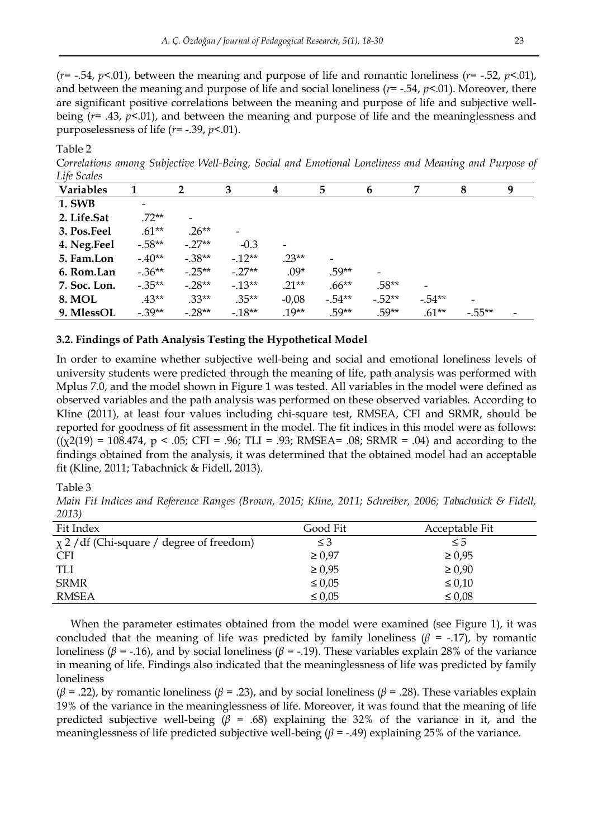(*r*= -.54, *p*<.01), between the meaning and purpose of life and romantic loneliness (*r*= -.52, *p*<.01), and between the meaning and purpose of life and social loneliness (*r*= -.54, *p*<.01). Moreover, there are significant positive correlations between the meaning and purpose of life and subjective wellbeing (*r*= .43, *p*<.01), and between the meaning and purpose of life and the meaninglessness and purposelessness of life (*r*= -.39, *p*<.01).

Table 2

C*orrelations among Subjective Well-Being, Social and Emotional Loneliness and Meaning and Purpose of Life Scales* 

| $-$ 1,000 $-$<br><b>Variables</b> |          | $\mathbf{2}$             | 3        | 4       | 5        | 6                        | 7        | 8        | 9 |
|-----------------------------------|----------|--------------------------|----------|---------|----------|--------------------------|----------|----------|---|
| <b>1. SWB</b>                     | -        |                          |          |         |          |                          |          |          |   |
| 2. Life.Sat                       | $.72**$  | $\overline{\phantom{0}}$ |          |         |          |                          |          |          |   |
| 3. Pos.Feel                       | $.61**$  | $.26**$                  | -        |         |          |                          |          |          |   |
| 4. Neg.Feel                       | $-.58**$ | $-.27**$                 | $-0.3$   |         |          |                          |          |          |   |
| 5. Fam.Lon                        | $-.40**$ | $-.38**$                 | $-12**$  | $.23**$ |          |                          |          |          |   |
| 6. Rom.Lan                        | $-.36**$ | $-.25**$                 | $-.27**$ | $.09*$  | $.59**$  | $\overline{\phantom{a}}$ |          |          |   |
| 7. Soc. Lon.                      | $-.35**$ | $-.28**$                 | $-13**$  | $.21**$ | $.66***$ | $.58**$                  |          |          |   |
| <b>8. MOL</b>                     | $.43**$  | $.33**$                  | $.35**$  | $-0,08$ | $-.54**$ | $-.52**$                 | $-.54**$ |          |   |
| 9. MlessOL                        | $-.39**$ | $-.28**$                 | $-18**$  | $.19**$ | $.59**$  | $.59**$                  | $.61**$  | $-.55**$ |   |

#### **3.2. Findings of Path Analysis Testing the Hypothetical Model**

In order to examine whether subjective well-being and social and emotional loneliness levels of university students were predicted through the meaning of life, path analysis was performed with Mplus 7.0, and the model shown in Figure 1 was tested. All variables in the model were defined as observed variables and the path analysis was performed on these observed variables. According to Kline (2011), at least four values including chi-square test, RMSEA, CFI and SRMR, should be reported for goodness of fit assessment in the model. The fit indices in this model were as follows:  $((\chi2(19) = 108.474, p < .05; CFI = .96; TLI = .93; RMSEA = .08; SRMR = .04)$  and according to the findings obtained from the analysis, it was determined that the obtained model had an acceptable fit (Kline, 2011; Tabachnick & Fidell, 2013).

Table 3

*Main Fit Indices and Reference Ranges (Brown, 2015; Kline, 2011; Schreiber, 2006; Tabachnick & Fidell, 2013)* 

| Fit Index                                      | Good Fit    | Acceptable Fit |
|------------------------------------------------|-------------|----------------|
| $\chi$ 2 / df (Chi-square / degree of freedom) | $\leq$ 3    | $\leq 5$       |
| <b>CFI</b>                                     | $\geq 0.97$ | $\geq 0.95$    |
| TLI                                            | $\geq 0.95$ | $\geq 0.90$    |
| <b>SRMR</b>                                    | $\leq 0.05$ | $\leq 0.10$    |
| <b>RMSEA</b>                                   | $\leq 0.05$ | $\leq 0.08$    |

When the parameter estimates obtained from the model were examined (see Figure 1), it was concluded that the meaning of life was predicted by family loneliness ( $β$  = -.17), by romantic loneliness ( $β = -.16$ ), and by social loneliness ( $β = -.19$ ). These variables explain 28% of the variance in meaning of life. Findings also indicated that the meaninglessness of life was predicted by family loneliness

(*β* = .22), by romantic loneliness (*β* = .23), and by social loneliness (*β* = .28). These variables explain 19% of the variance in the meaninglessness of life. Moreover, it was found that the meaning of life predicted subjective well-being ( $\beta$  = .68) explaining the 32% of the variance in it, and the meaninglessness of life predicted subjective well-being  $(\beta = -0.49)$  explaining 25% of the variance.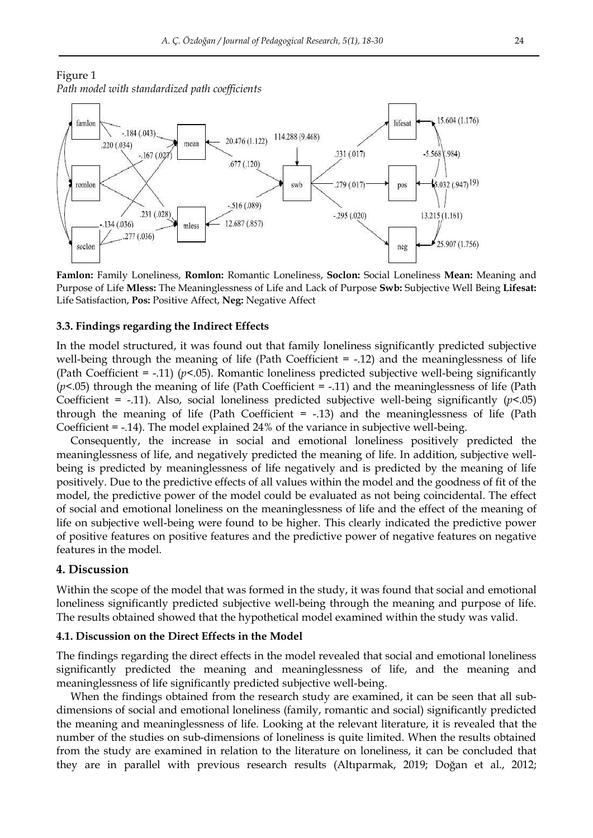Figure 1 *Path model with standardized path coefficients*



**Famlon:** Family Loneliness, **Romlon:** Romantic Loneliness, **Soclon:** Social Loneliness **Mean:** Meaning and Purpose of Life **Mless:** The Meaninglessness of Life and Lack of Purpose **Swb:** Subjective Well Being **Lifesat:** Life Satisfaction, **Pos:** Positive Affect, **Neg:** Negative Affect

#### **3.3. Findings regarding the Indirect Effects**

In the model structured, it was found out that family loneliness significantly predicted subjective well-being through the meaning of life (Path Coefficient  $= -12$ ) and the meaninglessness of life (Path Coefficient  $=$  -.11) ( $p$ <.05). Romantic loneliness predicted subjective well-being significantly (*p*<.05) through the meaning of life (Path Coefficient = -.11) and the meaninglessness of life (Path Coefficient = -.11). Also, social loneliness predicted subjective well-being significantly  $(p<0.05)$ through the meaning of life (Path Coefficient = -.13) and the meaninglessness of life (Path Coefficient = -.14). The model explained 24% of the variance in subjective well-being.

Consequently, the increase in social and emotional loneliness positively predicted the meaninglessness of life, and negatively predicted the meaning of life. In addition, subjective wellbeing is predicted by meaninglessness of life negatively and is predicted by the meaning of life positively. Due to the predictive effects of all values within the model and the goodness of fit of the model, the predictive power of the model could be evaluated as not being coincidental. The effect of social and emotional loneliness on the meaninglessness of life and the effect of the meaning of life on subjective well-being were found to be higher. This clearly indicated the predictive power of positive features on positive features and the predictive power of negative features on negative features in the model.

#### **4. Discussion**

Within the scope of the model that was formed in the study, it was found that social and emotional loneliness significantly predicted subjective well-being through the meaning and purpose of life. The results obtained showed that the hypothetical model examined within the study was valid.

### **4.1. Discussion on the Direct Effects in the Model**

The findings regarding the direct effects in the model revealed that social and emotional loneliness significantly predicted the meaning and meaninglessness of life, and the meaning and meaninglessness of life significantly predicted subjective well-being.

When the findings obtained from the research study are examined, it can be seen that all subdimensions of social and emotional loneliness (family, romantic and social) significantly predicted the meaning and meaninglessness of life. Looking at the relevant literature, it is revealed that the number of the studies on sub-dimensions of loneliness is quite limited. When the results obtained from the study are examined in relation to the literature on loneliness, it can be concluded that they are in parallel with previous research results (Altıparmak, 2019; Doğan et al., 2012;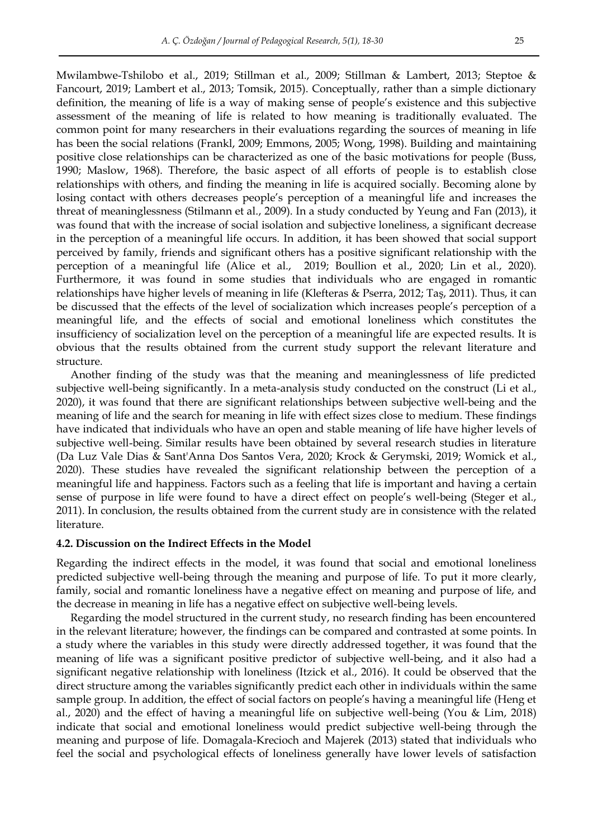Mwilambwe-Tshilobo et al., 2019; Stillman et al., 2009; Stillman & Lambert, 2013; Steptoe & Fancourt, 2019; Lambert et al., 2013; Tomsik, 2015). Conceptually, rather than a simple dictionary definition, the meaning of life is a way of making sense of people's existence and this subjective assessment of the meaning of life is related to how meaning is traditionally evaluated. The common point for many researchers in their evaluations regarding the sources of meaning in life has been the social relations (Frankl, 2009; Emmons, 2005; Wong, 1998). Building and maintaining positive close relationships can be characterized as one of the basic motivations for people (Buss, 1990; Maslow, 1968). Therefore, the basic aspect of all efforts of people is to establish close relationships with others, and finding the meaning in life is acquired socially. Becoming alone by losing contact with others decreases people's perception of a meaningful life and increases the threat of meaninglessness (Stilmann et al., 2009). In a study conducted by Yeung and Fan (2013), it was found that with the increase of social isolation and subjective loneliness, a significant decrease in the perception of a meaningful life occurs. In addition, it has been showed that social support perceived by family, friends and significant others has a positive significant relationship with the perception of a meaningful life (Alice et al., 2019; Boullion et al., 2020; Lin et al., 2020). Furthermore, it was found in some studies that individuals who are engaged in romantic relationships have higher levels of meaning in life (Klefteras & Pserra, 2012; Taş, 2011). Thus, it can be discussed that the effects of the level of socialization which increases people's perception of a meaningful life, and the effects of social and emotional loneliness which constitutes the insufficiency of socialization level on the perception of a meaningful life are expected results. It is obvious that the results obtained from the current study support the relevant literature and structure.

Another finding of the study was that the meaning and meaninglessness of life predicted subjective well-being significantly. In a meta-analysis study conducted on the construct (Li et al., 2020), it was found that there are significant relationships between subjective well-being and the meaning of life and the search for meaning in life with effect sizes close to medium. These findings have indicated that individuals who have an open and stable meaning of life have higher levels of subjective well-being. Similar results have been obtained by several research studies in literature (Da Luz Vale Dias & Sant'Anna Dos Santos Vera, 2020; Krock & Gerymski, 2019; Womick et al., 2020). These studies have revealed the significant relationship between the perception of a meaningful life and happiness. Factors such as a feeling that life is important and having a certain sense of purpose in life were found to have a direct effect on people's well-being (Steger et al., 2011). In conclusion, the results obtained from the current study are in consistence with the related literature.

#### **4.2. Discussion on the Indirect Effects in the Model**

Regarding the indirect effects in the model, it was found that social and emotional loneliness predicted subjective well-being through the meaning and purpose of life. To put it more clearly, family, social and romantic loneliness have a negative effect on meaning and purpose of life, and the decrease in meaning in life has a negative effect on subjective well-being levels.

Regarding the model structured in the current study, no research finding has been encountered in the relevant literature; however, the findings can be compared and contrasted at some points. In a study where the variables in this study were directly addressed together, it was found that the meaning of life was a significant positive predictor of subjective well-being, and it also had a significant negative relationship with loneliness (Itzick et al., 2016). It could be observed that the direct structure among the variables significantly predict each other in individuals within the same sample group. In addition, the effect of social factors on people's having a meaningful life (Heng et al., 2020) and the effect of having a meaningful life on subjective well-being (You & Lim, 2018) indicate that social and emotional loneliness would predict subjective well-being through the meaning and purpose of life. Domagala-Krecioch and Majerek (2013) stated that individuals who feel the social and psychological effects of loneliness generally have lower levels of satisfaction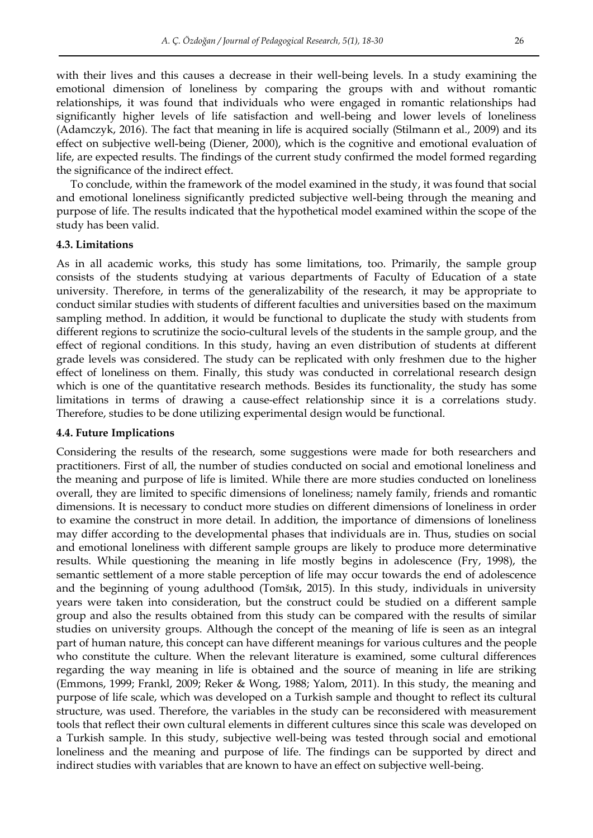with their lives and this causes a decrease in their well-being levels. In a study examining the emotional dimension of loneliness by comparing the groups with and without romantic relationships, it was found that individuals who were engaged in romantic relationships had significantly higher levels of life satisfaction and well-being and lower levels of loneliness (Adamczyk, 2016). The fact that meaning in life is acquired socially (Stilmann et al., 2009) and its effect on subjective well-being (Diener, 2000), which is the cognitive and emotional evaluation of life, are expected results. The findings of the current study confirmed the model formed regarding the significance of the indirect effect.

To conclude, within the framework of the model examined in the study, it was found that social and emotional loneliness significantly predicted subjective well-being through the meaning and purpose of life. The results indicated that the hypothetical model examined within the scope of the study has been valid.

#### **4.3. Limitations**

As in all academic works, this study has some limitations, too. Primarily, the sample group consists of the students studying at various departments of Faculty of Education of a state university. Therefore, in terms of the generalizability of the research, it may be appropriate to conduct similar studies with students of different faculties and universities based on the maximum sampling method. In addition, it would be functional to duplicate the study with students from different regions to scrutinize the socio-cultural levels of the students in the sample group, and the effect of regional conditions. In this study, having an even distribution of students at different grade levels was considered. The study can be replicated with only freshmen due to the higher effect of loneliness on them. Finally, this study was conducted in correlational research design which is one of the quantitative research methods. Besides its functionality, the study has some limitations in terms of drawing a cause-effect relationship since it is a correlations study. Therefore, studies to be done utilizing experimental design would be functional.

#### **4.4. Future Implications**

Considering the results of the research, some suggestions were made for both researchers and practitioners. First of all, the number of studies conducted on social and emotional loneliness and the meaning and purpose of life is limited. While there are more studies conducted on loneliness overall, they are limited to specific dimensions of loneliness; namely family, friends and romantic dimensions. It is necessary to conduct more studies on different dimensions of loneliness in order to examine the construct in more detail. In addition, the importance of dimensions of loneliness may differ according to the developmental phases that individuals are in. Thus, studies on social and emotional loneliness with different sample groups are likely to produce more determinative results. While questioning the meaning in life mostly begins in adolescence (Fry, 1998), the semantic settlement of a more stable perception of life may occur towards the end of adolescence and the beginning of young adulthood (Tomšık, 2015). In this study, individuals in university years were taken into consideration, but the construct could be studied on a different sample group and also the results obtained from this study can be compared with the results of similar studies on university groups. Although the concept of the meaning of life is seen as an integral part of human nature, this concept can have different meanings for various cultures and the people who constitute the culture. When the relevant literature is examined, some cultural differences regarding the way meaning in life is obtained and the source of meaning in life are striking (Emmons, 1999; Frankl, 2009; Reker & Wong, 1988; Yalom, 2011). In this study, the meaning and purpose of life scale, which was developed on a Turkish sample and thought to reflect its cultural structure, was used. Therefore, the variables in the study can be reconsidered with measurement tools that reflect their own cultural elements in different cultures since this scale was developed on a Turkish sample. In this study, subjective well-being was tested through social and emotional loneliness and the meaning and purpose of life. The findings can be supported by direct and indirect studies with variables that are known to have an effect on subjective well-being.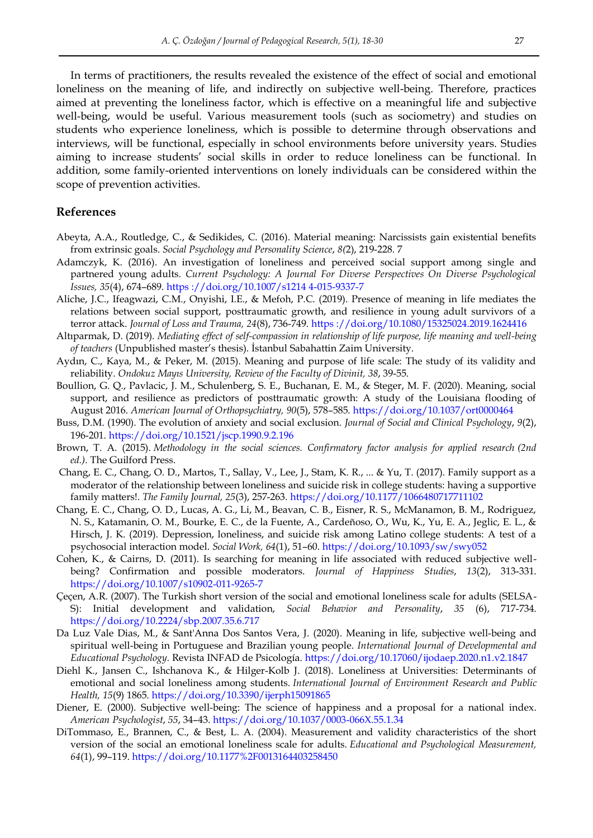In terms of practitioners, the results revealed the existence of the effect of social and emotional loneliness on the meaning of life, and indirectly on subjective well-being. Therefore, practices aimed at preventing the loneliness factor, which is effective on a meaningful life and subjective well-being, would be useful. Various measurement tools (such as sociometry) and studies on students who experience loneliness, which is possible to determine through observations and interviews, will be functional, especially in school environments before university years. Studies aiming to increase students' social skills in order to reduce loneliness can be functional. In addition, some family-oriented interventions on lonely individuals can be considered within the scope of prevention activities.

## **References**

- Abeyta, A.A., Routledge, C., & Sedikides, C. (2016). Material meaning: Narcissists gain existential benefits from extrinsic goals. *Social Psychology and Personality Science*, *8(*2), 219-228. 7
- Adamczyk, K. (2016). An investigation of loneliness and perceived social support among single and partnered young adults. *Current Psychology: A Journal For Diverse Perspectives On Diverse Psychological Issues, 35*(4), 674–689. [https ://doi.org/10.1007/s1214 4-015-9337-7](file:///C:/Users/Fermat/OneDrive/JPR/5(1)/https%20:/doi.org/10.1007/s1214%204-015-9337-7)
- Aliche, J.C., Ifeagwazi, C.M., Onyishi, I.E., & Mefoh, P.C. (2019). Presence of meaning in life mediates the relations between social support, posttraumatic growth, and resilience in young adult survivors of a terror attack. *Journal of Loss and Trauma, 24*(8), 736-749. [https ://doi.org/10.1080/15325024.2019.1624416](file:///C:/Users/Fermat/OneDrive/JPR/5(1)/https%20:/doi.org/10.1080/15325024.2019.1624416)
- Altıparmak, D. (2019). *Mediating effect of self-compassion in relationship of life purpose, life meaning and well-being of teachers* (Unpublished master's thesis). İstanbul Sabahattin Zaim University.
- Aydın, C., Kaya, M., & Peker, M. (2015). Meaning and purpose of life scale: The study of its validity and reliability. *Ondokuz Mayıs University, Review of the Faculty of Divinit, 38*, 39-55.
- Boullion, G. Q., Pavlacic, J. M., Schulenberg, S. E., Buchanan, E. M., & Steger, M. F. (2020). Meaning, social support, and resilience as predictors of posttraumatic growth: A study of the Louisiana flooding of August 2016. *American Journal of Orthopsychiatry, 90*(5), 578–585.<https://doi.org/10.1037/ort0000464>
- Buss, D.M. (1990). The evolution of anxiety and social exclusion. *Journal of Social and Clinical Psychology*, *9*(2), 196-201.<https://doi.org/10.1521/jscp.1990.9.2.196>
- Brown, T. A. (2015). *Methodology in the social sciences. Confirmatory factor analysis for applied research (2nd ed.).* The Guilford Press.
- Chang, E. C., Chang, O. D., Martos, T., Sallay, V., Lee, J., Stam, K. R., ... & Yu, T. (2017). Family support as a moderator of the relationship between loneliness and suicide risk in college students: having a supportive family matters!. *The Family Journal, 25*(3), 257-263. <https://doi.org/10.1177/1066480717711102>
- Chang, E. C., Chang, O. D., Lucas, A. G., Li, M., Beavan, C. B., Eisner, R. S., McManamon, B. M., Rodriguez, N. S., Katamanin, O. M., Bourke, E. C., de la Fuente, A., Cardeñoso, O., Wu, K., Yu, E. A., Jeglic, E. L., & Hirsch, J. K. (2019). Depression, loneliness, and suicide risk among Latino college students: A test of a psychosocial interaction model. *Social Work, 64*(1), 51–60. [https://doi.org/10.1093/sw/swy052](https://psycnet.apa.org/doi/10.1093/sw/swy052)
- Cohen, K., & Cairns, D. (2011). Is searching for meaning in life associated with reduced subjective wellbeing? Confirmation and possible moderators. *Journal of Happiness Studies*, *13*(2), 313-331. <https://doi.org/10.1007/s10902-011-9265-7>
- Çeçen, A.R. (2007). The Turkish short version of the social and emotional loneliness scale for adults (SELSA-S): Initial development and validation, *Social Behavior and Personality*, *35* (6), 717-734. <https://doi.org/10.2224/sbp.2007.35.6.717>
- Da Luz Vale Dias, M., & Sant'Anna Dos Santos Vera, J. (2020). Meaning in life, subjective well-being and spiritual well-being in Portuguese and Brazilian young people. *International Journal of Developmental and Educational Psychology*. Revista INFAD de Psicología. <https://doi.org/10.17060/ijodaep.2020.n1.v2.1847>
- Diehl K., Jansen C., Ishchanova K., & Hilger-Kolb J. (2018). Loneliness at Universities: Determinants of emotional and social loneliness among students. *International Journal of Environment Research and Public Health, 15*(9) 1865. <https://doi.org/10.3390/ijerph15091865>
- Diener, E. (2000). Subjective well-being: The science of happiness and a proposal for a national index. *American Psychologist*, *55*, 34–43. <https://doi.org/10.1037/0003-066X.55.1.34>
- DiTommaso, E., Brannen, C., & Best, L. A. (2004). Measurement and validity characteristics of the short version of the social an emotional loneliness scale for adults. *Educational and Psychological Measurement, 64*(1), 99–119. <https://doi.org/10.1177%2F0013164403258450>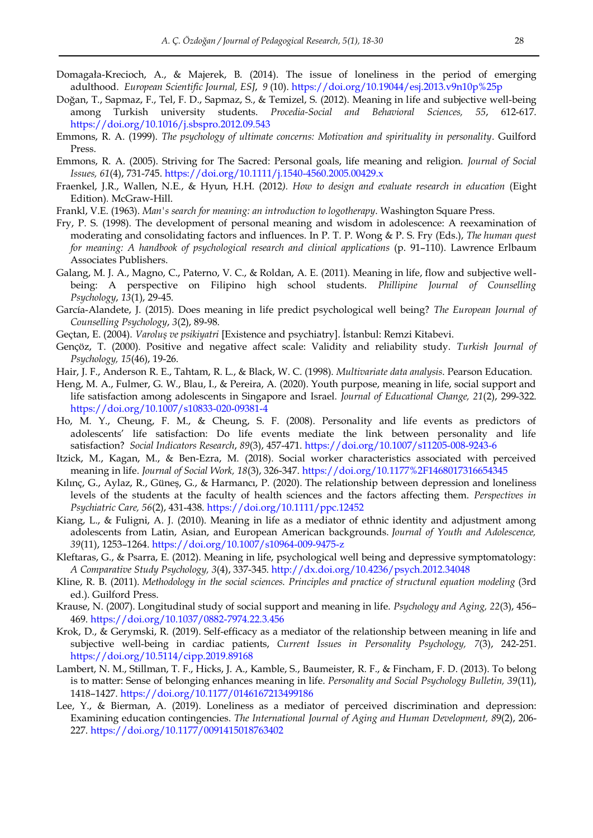- Domagała-Krecioch, A., & Majerek, B. (2014). The issue of loneliness in the period of emerging adulthood. *European Scientific Journal, ESJ*, *9* (10). <https://doi.org/10.19044/esj.2013.v9n10p%25p>
- Doğan, T., Sapmaz, F., Tel, F. D., Sapmaz, S., & Temizel, S. (2012). Meaning in life and subjective well-being among Turkish university students. *Procedia-Social and Behavioral Sciences, 55*, 612-617. <https://doi.org/10.1016/j.sbspro.2012.09.543>
- Emmons, R. A. (1999). *The psychology of ultimate concerns: Motivation and spirituality in personality*. Guilford Press.
- Emmons, R. A. (2005). Striving for The Sacred: Personal goals, life meaning and religion. *Journal of Social Issues, 61*(4), 731-745. <https://doi.org/10.1111/j.1540-4560.2005.00429.x>
- Fraenkel, J.R., Wallen, N.E., & Hyun, H.H. (2012*). How to design and evaluate research in education* (Eight Edition)*.* McGraw-Hill.
- Frankl, V.E. (1963). *Man's search for meaning: an introduction to logotherapy*. Washington Square Press.
- Fry, P. S. (1998). The development of personal meaning and wisdom in adolescence: A reexamination of moderating and consolidating factors and influences. In P. T. P. Wong & P. S. Fry (Eds.), *The human quest for meaning: A handbook of psychological research and clinical applications (p. 91–110). Lawrence Erlbaum* Associates Publishers.
- Galang, M. J. A., Magno, C., Paterno, V. C., & Roldan, A. E. (2011). Meaning in life, flow and subjective wellbeing: A perspective on Filipino high school students. *Phillipine Journal of Counselling Psychology*, *13*(1), 29-45.
- García-Alandete, J. (2015). Does meaning in life predict psychological well being? *The European Journal of Counselling Psychology*, *3*(2), 89-98.
- Geçtan, E. (2004). *Varoluş ve psikiyatri* [Existence and psychiatry]. İstanbul: Remzi Kitabevi.
- Gençöz, T. (2000). Positive and negative affect scale: Validity and reliability study. *Turkish Journal of Psychology, 15*(46), 19-26.
- Hair, J. F., Anderson R. E., Tahtam, R. L., & Black, W. C. (1998). *Multivariate data analysis*. Pearson Education.
- Heng, M. A., Fulmer, G. W., Blau, I., & Pereira, A. (2020). Youth purpose, meaning in life, social support and life satisfaction among adolescents in Singapore and Israel. *Journal of Educational Change, 21*(2), 299-322. <https://doi.org/10.1007/s10833-020-09381-4>
- Ho, M. Y., Cheung, F. M., & Cheung, S. F. (2008). Personality and life events as predictors of adolescents' life satisfaction: Do life events mediate the link between personality and life satisfaction? *Social Indicators Research*, *89*(3), 457-471. <https://doi.org/10.1007/s11205-008-9243-6>
- Itzick, M., Kagan, M., & Ben-Ezra, M. (2018). Social worker characteristics associated with perceived meaning in life. *Journal of Social Work, 18*(3), 326-347.<https://doi.org/10.1177%2F1468017316654345>
- Kılınç, G., Aylaz, R., Güneş, G., & Harmancı, P. (2020). The relationship between depression and loneliness levels of the students at the faculty of health sciences and the factors affecting them. *Perspectives in Psychiatric Care, 56*(2), 431-438[. https://doi.org/10.1111/ppc.12452](https://doi.org/10.1111/ppc.12452)
- Kiang, L., & Fuligni, A. J. (2010). Meaning in life as a mediator of ethnic identity and adjustment among adolescents from Latin, Asian, and European American backgrounds. *Journal of Youth and Adolescence, 39*(11), 1253–1264. [https://doi.org/10.1007/s10964-009-9475-z](https://psycnet.apa.org/doi/10.1007/s10964-009-9475-z)
- Kleftaras, G., & Psarra, E. (2012). Meaning in life, psychological well being and depressive symptomatology: *A Comparative Study Psychology, 3*(4), 337-345. <http://dx.doi.org/10.4236/psych.2012.34048>
- Kline, R. B. (2011). *Methodology in the social sciences. Principles and practice of structural equation modeling* (3rd ed.). Guilford Press.
- Krause, N. (2007). Longitudinal study of social support and meaning in life. *Psychology and Aging, 22*(3), 456– 469. [https://doi.org/10.1037/0882-7974.22.3.456](https://psycnet.apa.org/doi/10.1037/0882-7974.22.3.456)
- Krok, D., & Gerymski, R. (2019). Self-efficacy as a mediator of the relationship between meaning in life and subjective well-being in cardiac patients, *Current Issues in Personality Psychology, 7*(3), 242-251. <https://doi.org/10.5114/cipp.2019.89168>
- Lambert, N. M., Stillman, T. F., Hicks, J. A., Kamble, S., Baumeister, R. F., & Fincham, F. D. (2013). To belong is to matter: Sense of belonging enhances meaning in life. *Personality and Social Psychology Bulletin, 39*(11), 1418–1427. [https://doi.org/10.1177/0146167213499186](https://psycnet.apa.org/doi/10.1177/0146167213499186)
- Lee, Y., & Bierman, A. (2019). Loneliness as a mediator of perceived discrimination and depression: Examining education contingencies. *The International Journal of Aging and Human Development, 8*9(2), 206- 227.<https://doi.org/10.1177/0091415018763402>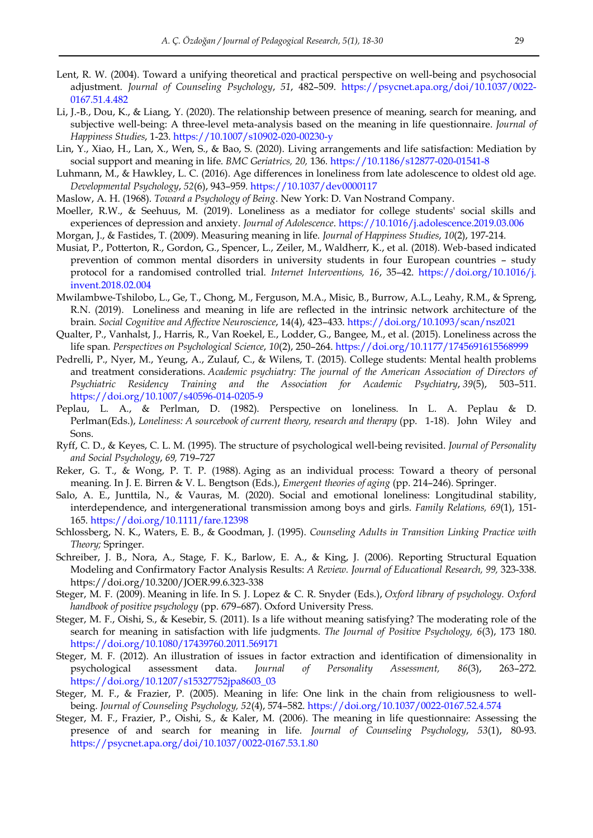- Lent, R. W. (2004). Toward a unifying theoretical and practical perspective on well-being and psychosocial adjustment. *Journal of Counseling Psychology*, *51*, 482–509. [https://psycnet.apa.org/doi/10.1037/0022-](https://psycnet.apa.org/doi/10.1037/0022-0167.51.4.482) [0167.51.4.482](https://psycnet.apa.org/doi/10.1037/0022-0167.51.4.482)
- Li, J.-B., Dou, K., & Liang, Y. (2020). The relationship between presence of meaning, search for meaning, and subjective well-being: A three-level meta-analysis based on the meaning in life questionnaire. *Journal of Happiness Studies*, 1-23. [https://10.1007/s10902-020-00230-y](https://10.0.3.239/s10902-020-00230-y)
- Lin, Y., Xiao, H., Lan, X., Wen, S., & Bao, S. (2020). Living arrangements and life satisfaction: Mediation by social support and meaning in life. *BMC Geriatrics, 20,* 136. [https://10.1186/s12877-020-01541-8](https://10.0.4.162/s12877-020-01541-8)
- Luhmann, M., & Hawkley, L. C. (2016). Age differences in loneliness from late adolescence to oldest old age. *Developmental Psychology*, *52*(6), 943–959. [https://10.1037/dev0000117](https://10.0.4.13/dev0000117)
- Maslow, A. H. (1968). *Toward a Psychology of Being*. New York: D. Van Nostrand Company.
- Moeller, R.W., & Seehuus, M. (2019). Loneliness as a mediator for college students' social skills and experiences of depression and anxiety. *Journal of Adolescence*. [https://10.1016/j.adolescence.2019.03.006](https://10.0.3.248/j.adolescence.2019.03.006)
- Morgan, J., & Fastides, T. (2009). Measuring meaning in life. *Journal of Happiness Studies*, *10*(2), 197-214.
- Musiat, P., Potterton, R., Gordon, G., Spencer, L., Zeiler, M., Waldherr, K., et al. (2018). Web-based indicated prevention of common mental disorders in university students in four European countries – study protocol for a randomised controlled trial. *Internet Interventions, 16*, 35–42. [https://doi.org/10.1016/j.](https://doi.org/10.1016/j.%20invent.2018.02.004)  [invent.2018.02.004](https://doi.org/10.1016/j.%20invent.2018.02.004)
- Mwilambwe-Tshilobo, L., Ge, T., Chong, M., Ferguson, M.A., Misic, B., Burrow, A.L., Leahy, R.M., & Spreng, R.N. (2019). Loneliness and meaning in life are reflected in the intrinsic network architecture of the brain. *Social Cognitive and Affective Neuroscience*, 14(4), 423–433. <https://doi.org/10.1093/scan/nsz021>
- Qualter, P., Vanhalst, J., Harris, R., Van Roekel, E., Lodder, G., Bangee, M., et al. (2015). Loneliness across the life span. *Perspectives on Psychological Science*, *10*(2), 250–264. <https://doi.org/10.1177/1745691615568999>
- Pedrelli, P., Nyer, M., Yeung, A., Zulauf, C., & Wilens, T. (2015). College students: Mental health problems and treatment considerations. *Academic psychiatry: The journal of the American Association of Directors of Psychiatric Residency Training and the Association for Academic Psychiatry*, *39*(5), 503–511. <https://doi.org/10.1007/s40596-014-0205-9>
- Peplau, L. A., & Perlman, D. (1982). Perspective on loneliness. In L. A. Peplau & D. Perlman(Eds.), *Loneliness: A sourcebook of current theory, research and therapy* (pp. 1-18). John Wiley and Sons.
- Ryff, C. D., & Keyes, C. L. M. (1995). The structure of psychological well-being revisited. *Journal of Personality and Social Psychology*, *69,* 719–727
- Reker, G. T., & Wong, P. T. P. (1988). Aging as an individual process: Toward a theory of personal meaning*.* In J. E. Birren & V. L. Bengtson (Eds.), *Emergent theories of aging* (pp. 214–246). Springer.
- Salo, A. E., Junttila, N., & Vauras, M. (2020). Social and emotional loneliness: Longitudinal stability, interdependence, and intergenerational transmission among boys and girls. *Family Relations, 69*(1), 151- 165. <https://doi.org/10.1111/fare.12398>
- Schlossberg, N. K., Waters, E. B., & Goodman, J. (1995). *Counseling Adults in Transition Linking Practice with Theory;* Springer.
- Schreiber, J. B., Nora, A., Stage, F. K., Barlow, E. A., & King, J. (2006). Reporting Structural Equation Modeling and Confirmatory Factor Analysis Results: *A Review. Journal of Educational Research, 99,* 323-338. https://doi.org/10.3200/JOER.99.6.323-338
- Steger, M. F. (2009). Meaning in life. In S. J. Lopez & C. R. Snyder (Eds.), *Oxford library of psychology. Oxford handbook of positive psychology* (pp. 679–687). Oxford University Press.
- Steger, M. F., Oishi, S., & Kesebir, S. (2011). Is a life without meaning satisfying? The moderating role of the search for meaning in satisfaction with life judgments. *The Journal of Positive Psychology, 6*(3), 173 180. <https://doi.org/10.1080/17439760.2011.569171>
- Steger, M. F. (2012). An illustration of issues in factor extraction and identification of dimensionality in psychological assessment data. *Journal of Personality Assessment, 86*(3), 263–272. [https://doi.org/10.1207/s15327752jpa8603\\_03](https://doi.org/10.1207/s15327752jpa8603_03)
- Steger, M. F., & Frazier, P. (2005). Meaning in life: One link in the chain from religiousness to wellbeing. *Journal of Counseling Psychology, 52*(4), 574–582. [https://doi.org/10.1037/0022-0167.52.4.574](https://doi.apa.org/doi/10.1037/0022-0167.52.4.574)
- Steger, M. F., Frazier, P., Oishi, S., & Kaler, M. (2006). The meaning in life questionnaire: Assessing the presence of and search for meaning in life. *Journal of Counseling Psychology*, *53*(1), 80-93. <https://psycnet.apa.org/doi/10.1037/0022-0167.53.1.80>